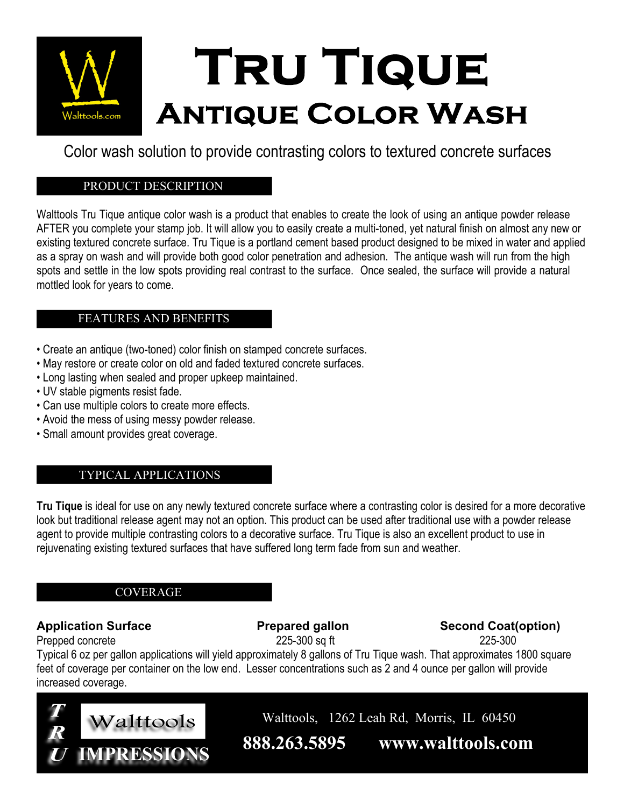

Color wash solution to provide contrasting colors to textured concrete surfaces

### PRODUCT DESCRIPTION

Walttools Tru Tique antique color wash is a product that enables to create the look of using an antique powder release AFTER you complete your stamp job. It will allow you to easily create a multi-toned, yet natural finish on almost any new or existing textured concrete surface. Tru Tique is a portland cement based product designed to be mixed in water and applied as a spray on wash and will provide both good color penetration and adhesion. The antique wash will run from the high spots and settle in the low spots providing real contrast to the surface. Once sealed, the surface will provide a natural mottled look for years to come.

## FEATURES AND BENEFITS

- Create an antique (two-toned) color finish on stamped concrete surfaces.
- May restore or create color on old and faded textured concrete surfaces.
- Long lasting when sealed and proper upkeep maintained.
- UV stable pigments resist fade.
- Can use multiple colors to create more effects.
- Avoid the mess of using messy powder release.
- Small amount provides great coverage.

# TYPICAL APPLICATIONS

**Tru Tique** is ideal for use on any newly textured concrete surface where a contrasting color is desired for a more decorative look but traditional release agent may not an option. This product can be used after traditional use with a powder release agent to provide multiple contrasting colors to a decorative surface. Tru Tique is also an excellent product to use in rejuvenating existing textured surfaces that have suffered long term fade from sun and weather.

## COVERAGE

## Application Surface **Prepared gallon** Second Coat(option)

Prepped concrete 225-300 sq ft 225-300 sq ft 225-300

Typical 6 oz per gallon applications will yield approximately 8 gallons of Tru Tique wash. That approximates 1800 square feet of coverage per container on the low end. Lesser concentrations such as 2 and 4 ounce per gallon will provide increased coverage.



**888.263.5895 www.walttools.com**